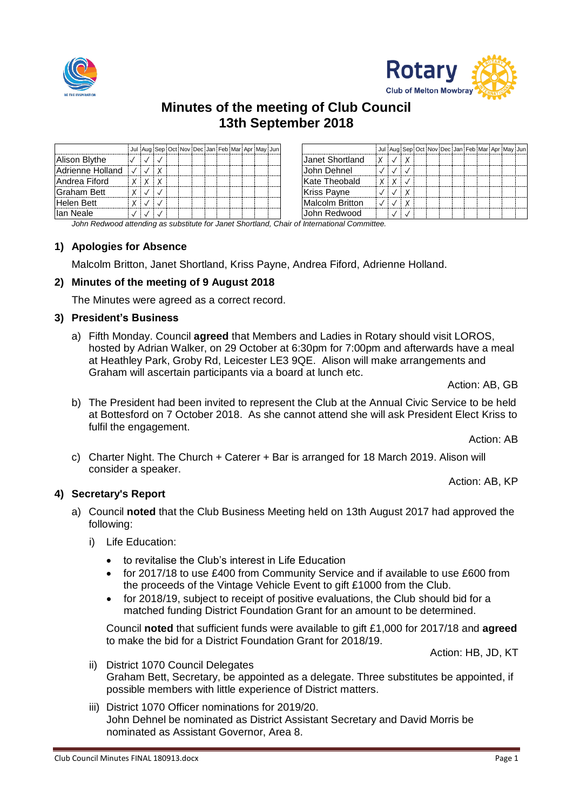



# **Minutes of the meeting of Club Council 13th September 2018**

|                     |  |              |  |  |  | Jul Aug Sep Oct Nov Dec Jan Feb Mar Apr May Jun |  |                        |   |              |  |  |  |  | Jul Aug Sep Oct Nov Dec Jan Feb Mar Apr May Jun |
|---------------------|--|--------------|--|--|--|-------------------------------------------------|--|------------------------|---|--------------|--|--|--|--|-------------------------------------------------|
| Alison Blythe       |  |              |  |  |  |                                                 |  | Janet Shortland        |   |              |  |  |  |  |                                                 |
| Adrienne Holland    |  | $\checkmark$ |  |  |  |                                                 |  | John Dehnel            |   |              |  |  |  |  |                                                 |
| Andrea Fiford       |  |              |  |  |  |                                                 |  | Kate Theobald          | X | $\checkmark$ |  |  |  |  |                                                 |
| <b>IGraham Bett</b> |  |              |  |  |  |                                                 |  | <b>Kriss Payne</b>     |   |              |  |  |  |  |                                                 |
| Helen Bett          |  |              |  |  |  |                                                 |  | <b>Malcolm Britton</b> |   |              |  |  |  |  |                                                 |
| lan Neale           |  |              |  |  |  |                                                 |  | John Redwood           |   |              |  |  |  |  |                                                 |

*John Redwood attending as substitute for Janet Shortland, Chair of International Committee.*

#### **1) Apologies for Absence**

Malcolm Britton, Janet Shortland, Kriss Payne, Andrea Fiford, Adrienne Holland.

### **2) Minutes of the meeting of 9 August 2018**

The Minutes were agreed as a correct record.

#### **3) President's Business**

a) Fifth Monday. Council **agreed** that Members and Ladies in Rotary should visit LOROS, hosted by Adrian Walker, on 29 October at 6:30pm for 7:00pm and afterwards have a meal at Heathley Park, Groby Rd, Leicester LE3 9QE. Alison will make arrangements and Graham will ascertain participants via a board at lunch etc.

Action: AB, GB

b) The President had been invited to represent the Club at the Annual Civic Service to be held at Bottesford on 7 October 2018. As she cannot attend she will ask President Elect Kriss to fulfil the engagement.

Action: AB

c) Charter Night. The Church + Caterer + Bar is arranged for 18 March 2019. Alison will consider a speaker.

Action: AB, KP

### **4) Secretary's Report**

- a) Council **noted** that the Club Business Meeting held on 13th August 2017 had approved the following:
	- i) Life Education:
		- to revitalise the Club's interest in Life Education
		- for 2017/18 to use £400 from Community Service and if available to use £600 from the proceeds of the Vintage Vehicle Event to gift £1000 from the Club.
		- for 2018/19, subject to receipt of positive evaluations, the Club should bid for a matched funding District Foundation Grant for an amount to be determined.

Council **noted** that sufficient funds were available to gift £1,000 for 2017/18 and **agreed** to make the bid for a District Foundation Grant for 2018/19.

Action: HB, JD, KT

- ii) District 1070 Council Delegates Graham Bett, Secretary, be appointed as a delegate. Three substitutes be appointed, if possible members with little experience of District matters.
- iii) District 1070 Officer nominations for 2019/20. John Dehnel be nominated as District Assistant Secretary and David Morris be nominated as Assistant Governor, Area 8.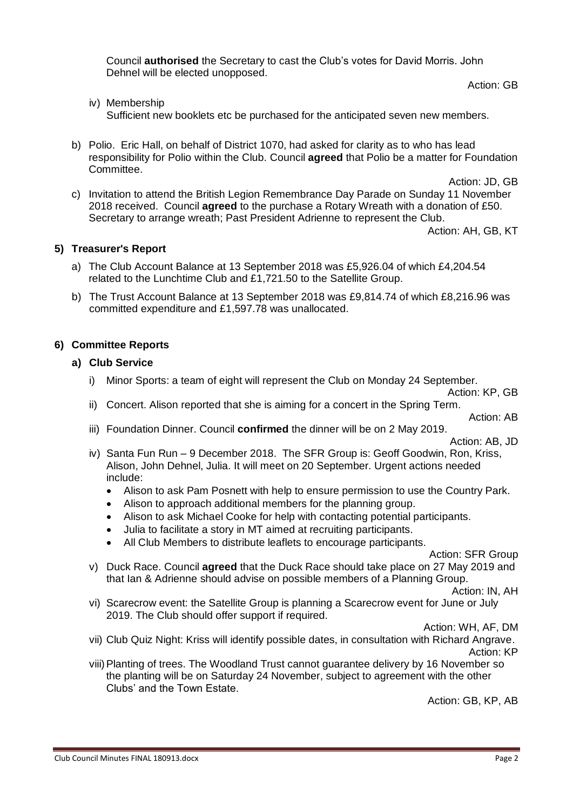Council **authorised** the Secretary to cast the Club's votes for David Morris. John Dehnel will be elected unopposed.

Action: GB

iv) Membership

Sufficient new booklets etc be purchased for the anticipated seven new members.

b) Polio. Eric Hall, on behalf of District 1070, had asked for clarity as to who has lead responsibility for Polio within the Club. Council **agreed** that Polio be a matter for Foundation Committee.

Action: JD, GB

c) Invitation to attend the British Legion Remembrance Day Parade on Sunday 11 November 2018 received. Council **agreed** to the purchase a Rotary Wreath with a donation of £50. Secretary to arrange wreath; Past President Adrienne to represent the Club.

Action: AH, GB, KT

### **5) Treasurer's Report**

- a) The Club Account Balance at 13 September 2018 was £5,926.04 of which £4,204.54 related to the Lunchtime Club and £1,721.50 to the Satellite Group.
- b) The Trust Account Balance at 13 September 2018 was £9,814.74 of which £8,216.96 was committed expenditure and £1,597.78 was unallocated.

### **6) Committee Reports**

### **a) Club Service**

i) Minor Sports: a team of eight will represent the Club on Monday 24 September.

Action: KP, GB

ii) Concert. Alison reported that she is aiming for a concert in the Spring Term.

Action: AB

iii) Foundation Dinner. Council **confirmed** the dinner will be on 2 May 2019.

Action: AB, JD

- iv) Santa Fun Run 9 December 2018. The SFR Group is: Geoff Goodwin, Ron, Kriss, Alison, John Dehnel, Julia. It will meet on 20 September. Urgent actions needed include:
	- Alison to ask Pam Posnett with help to ensure permission to use the Country Park.
	- Alison to approach additional members for the planning group.
	- Alison to ask Michael Cooke for help with contacting potential participants.
	- Julia to facilitate a story in MT aimed at recruiting participants.
	- All Club Members to distribute leaflets to encourage participants.

Action: SFR Group

v) Duck Race. Council **agreed** that the Duck Race should take place on 27 May 2019 and that Ian & Adrienne should advise on possible members of a Planning Group.

Action: IN, AH

vi) Scarecrow event: the Satellite Group is planning a Scarecrow event for June or July 2019. The Club should offer support if required.

Action: WH, AF, DM

- vii) Club Quiz Night: Kriss will identify possible dates, in consultation with Richard Angrave. Action: KP
- viii)Planting of trees. The Woodland Trust cannot guarantee delivery by 16 November so the planting will be on Saturday 24 November, subject to agreement with the other Clubs' and the Town Estate.

Action: GB, KP, AB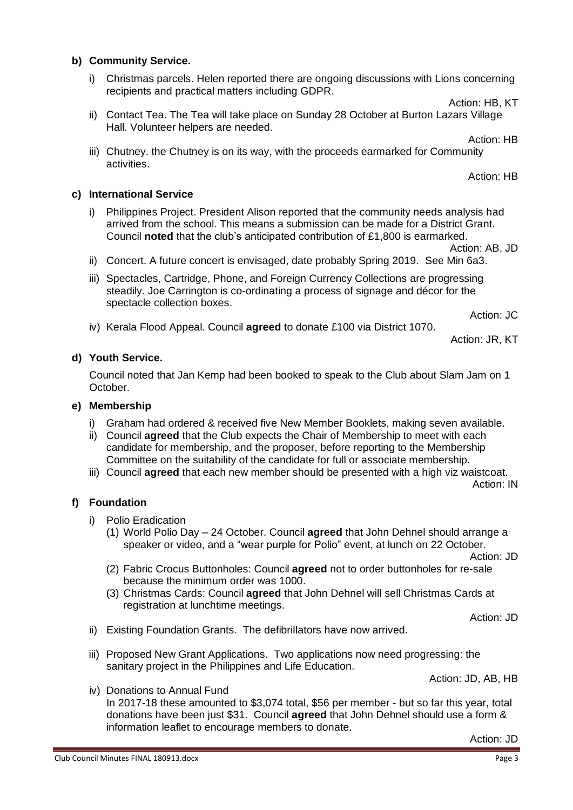# **b) Community Service.**

i) Christmas parcels. Helen reported there are ongoing discussions with Lions concerning recipients and practical matters including GDPR.

Action: HB, KT

- ii) Contact Tea. The Tea will take place on Sunday 28 October at Burton Lazars Village Hall. Volunteer helpers are needed.
- iii) Chutney. the Chutney is on its way, with the proceeds earmarked for Community activities.

# **c) International Service**

i) Philippines Project. President Alison reported that the community needs analysis had arrived from the school. This means a submission can be made for a District Grant. Council **noted** that the club's anticipated contribution of £1,800 is earmarked.

Action: AB, JD

- ii) Concert. A future concert is envisaged, date probably Spring 2019. See Min 6a3.
- iii) Spectacles, Cartridge, Phone, and Foreign Currency Collections are progressing steadily. Joe Carrington is co-ordinating a process of signage and décor for the spectacle collection boxes.

Action: JC

iv) Kerala Flood Appeal. Council **agreed** to donate £100 via District 1070.

Action: JR, KT

### **d) Youth Service.**

Council noted that Jan Kemp had been booked to speak to the Club about Slam Jam on 1 October.

### **e) Membership**

- i) Graham had ordered & received five New Member Booklets, making seven available.
- ii) Council **agreed** that the Club expects the Chair of Membership to meet with each candidate for membership, and the proposer, before reporting to the Membership Committee on the suitability of the candidate for full or associate membership.
- iii) Council **agreed** that each new member should be presented with a high viz waistcoat.

Action: IN

### **f) Foundation**

- i) Polio Eradication
	- (1) World Polio Day 24 October. Council **agreed** that John Dehnel should arrange a speaker or video, and a "wear purple for Polio" event, at lunch on 22 October.

Action: JD

- (2) Fabric Crocus Buttonholes: Council **agreed** not to order buttonholes for re-sale because the minimum order was 1000.
- (3) Christmas Cards: Council **agreed** that John Dehnel will sell Christmas Cards at registration at lunchtime meetings.

Action: JD

- ii) Existing Foundation Grants. The defibrillators have now arrived.
- iii) Proposed New Grant Applications. Two applications now need progressing: the sanitary project in the Philippines and Life Education.

Action: JD, AB, HB

iv) Donations to Annual Fund In 2017-18 these amounted to \$3,074 total, \$56 per member - but so far this year, total donations have been just \$31. Council **agreed** that John Dehnel should use a form & information leaflet to encourage members to donate.

Action: JD

Action: HB

Action: HB